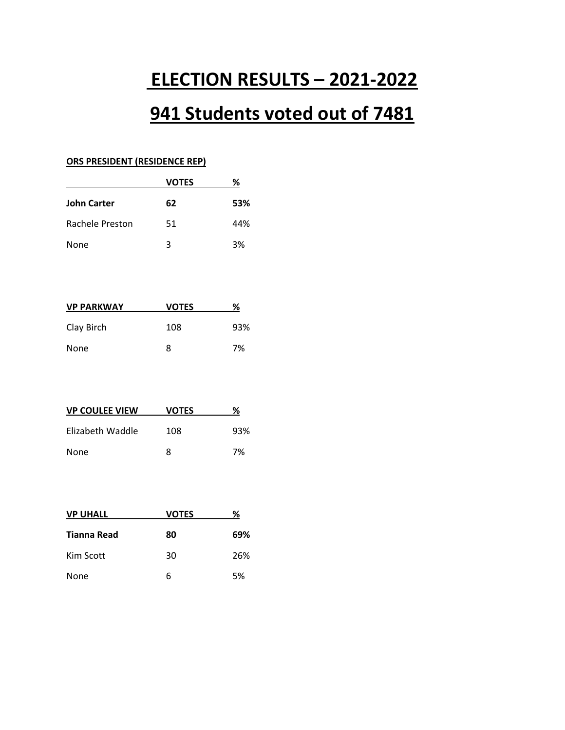# **ELECTION RESULTS – 2021-2022**

# **941 Students voted out of 7481**

#### **ORS PRESIDENT (RESIDENCE REP)**

| <b>VOTES</b> | %   |
|--------------|-----|
| 62           | 53% |
| 51           | 44% |
| 3            | 3%  |
|              |     |

| <b>VP PARKWAY</b> | <b>VOTES</b> | %   |
|-------------------|--------------|-----|
| Clay Birch        | 108          | 93% |
| None              | 8            | 7%  |

| <b>VP COULEE VIEW</b> | <b>VOTES</b> | %   |
|-----------------------|--------------|-----|
| Elizabeth Waddle      | 108          | 93% |
| None                  | Ջ            | 7%  |

| <b>VP UHALL</b> | <b>VOTES</b> | ℅   |
|-----------------|--------------|-----|
| Tianna Read     | 80           | 69% |
| Kim Scott       | 30           | 26% |
| None            | 6            | 5%  |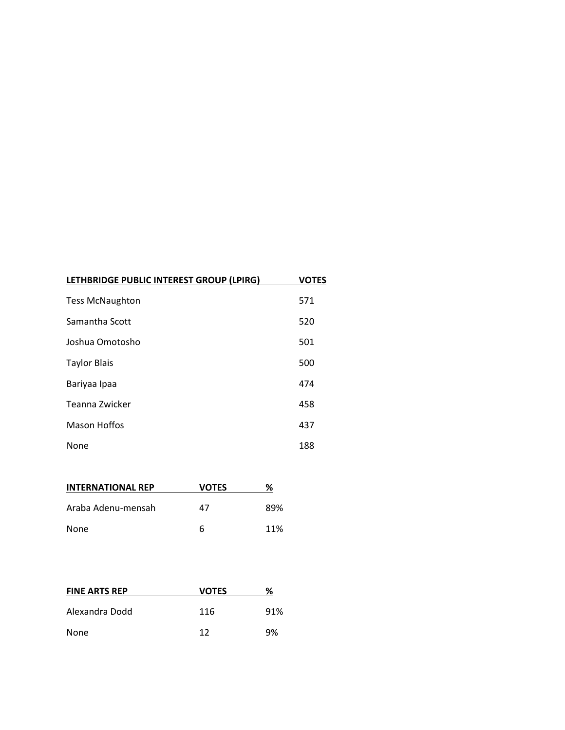| LETHBRIDGE PUBLIC INTEREST GROUP (LPIRG) | <b>VOTES</b> |
|------------------------------------------|--------------|
| <b>Tess McNaughton</b>                   | 571          |
| Samantha Scott                           | 520          |
| Joshua Omotosho                          | 501          |
| <b>Taylor Blais</b>                      | 500          |
| Bariyaa Ipaa                             | 474          |
| Teanna Zwicker                           | 458          |
| Mason Hoffos                             | 437          |
| None                                     | 188          |

| <b>INTERNATIONAL REP</b> | <b>VOTES</b> | %   |
|--------------------------|--------------|-----|
| Araba Adenu-mensah       | 47           | 89% |
| None                     | 6            | 11% |

| <b>FINE ARTS REP</b> | <b>VOTES</b> | ℅   |
|----------------------|--------------|-----|
| Alexandra Dodd       | 116          | 91% |
| None                 | 12           | 9%  |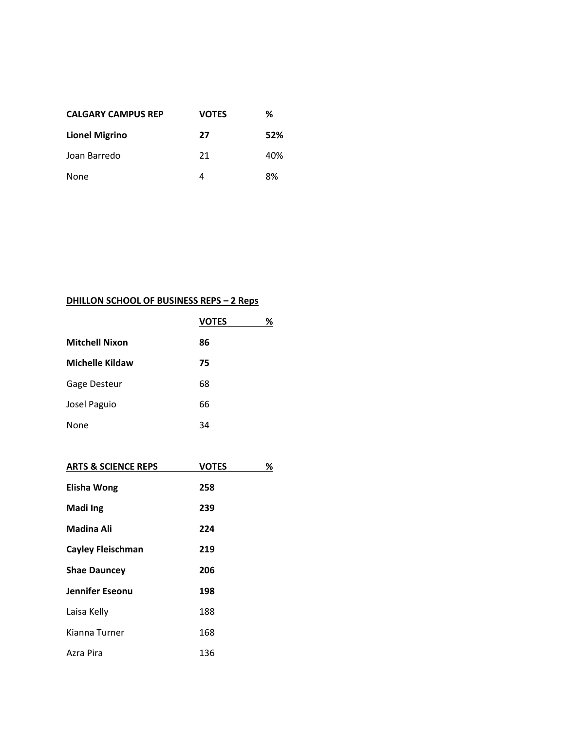| <b>CALGARY CAMPUS REP</b> | VOTES | ℅   |
|---------------------------|-------|-----|
| <b>Lionel Migrino</b>     | 27    | 52% |
| Joan Barredo              | 21    | 40% |
| None                      |       | 8%  |

### **DHILLON SCHOOL OF BUSINESS REPS – 2 Reps**

|                        | <b>VOTES</b> | ℅ |
|------------------------|--------------|---|
| <b>Mitchell Nixon</b>  | 86           |   |
| <b>Michelle Kildaw</b> | 75           |   |
| Gage Desteur           | 68           |   |
| Josel Paguio           | 66           |   |
| None                   | 34           |   |

| <b>ARTS &amp; SCIENCE REPS</b> | <b>VOTES</b><br>℅ |
|--------------------------------|-------------------|
| <b>Elisha Wong</b>             | 258               |
| <b>Madilng</b>                 | 239               |
| Madina Ali                     | 224               |
| <b>Cayley Fleischman</b>       | 219               |
| <b>Shae Dauncey</b>            | 206               |
| <b>Jennifer Eseonu</b>         | 198               |
| Laisa Kelly                    | 188               |
| Kianna Turner                  | 168               |
| Azra Pira                      | 136               |